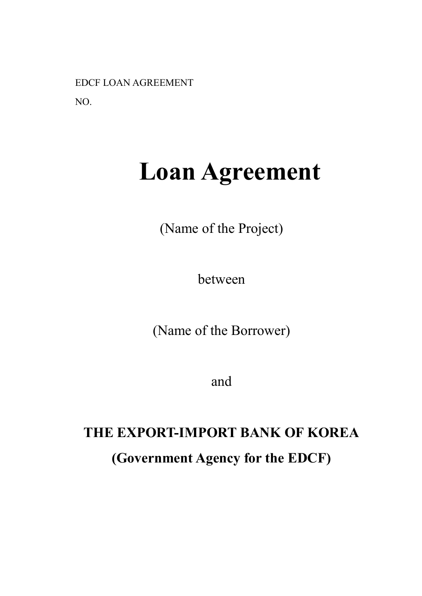EDCF LOAN AGREEMENT

NO.

# **Loan Agreement**

(Name of the Project)

between

(Name of the Borrower)

and

## **THE EXPORT-IMPORT BANK OF KOREA (Government Agency for the EDCF)**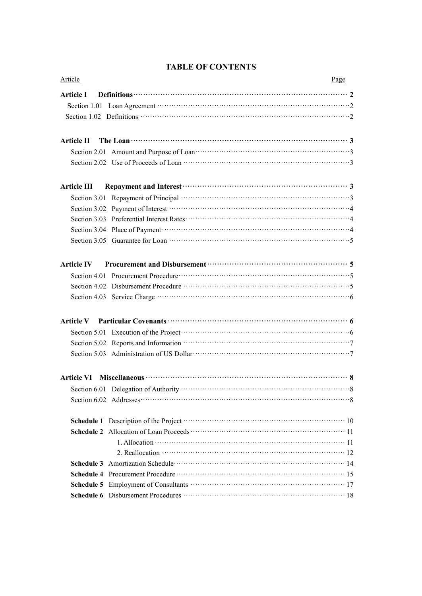| Article     | Page                                                                                                                                                                                                                                 |
|-------------|--------------------------------------------------------------------------------------------------------------------------------------------------------------------------------------------------------------------------------------|
| Article I   | Definitions <b>contract to the contract of the contract of the contract of the contract of the contract of the contract of the contract of the contract of the contract of the contract of the contract of the contract of the c</b> |
|             |                                                                                                                                                                                                                                      |
|             |                                                                                                                                                                                                                                      |
| Article II  | The Loan $\cdots$ $\cdots$ $\cdots$ $\cdots$ $\cdots$ $\cdots$ $\cdots$ $\cdots$ $\cdots$ $\cdots$ $\cdots$ $\cdots$ $\cdots$ $\cdots$ $\cdots$ $\cdots$ $\cdots$                                                                    |
|             |                                                                                                                                                                                                                                      |
|             |                                                                                                                                                                                                                                      |
| Article III |                                                                                                                                                                                                                                      |
|             |                                                                                                                                                                                                                                      |
|             |                                                                                                                                                                                                                                      |
|             |                                                                                                                                                                                                                                      |
|             | Section 3.04 Place of Payment manufacturers and all the Section 3.04 Place of Payment manufacturers and all the Section 4                                                                                                            |
|             |                                                                                                                                                                                                                                      |
|             | Article IV Procurement and Disbursement manufactured and S                                                                                                                                                                           |
|             |                                                                                                                                                                                                                                      |
|             |                                                                                                                                                                                                                                      |
|             |                                                                                                                                                                                                                                      |
|             |                                                                                                                                                                                                                                      |
|             | Section 5.01 Execution of the Project $\cdots$ $\cdots$ $\cdots$ $\cdots$ $\cdots$ $\cdots$ $\cdots$ $\cdots$ $\cdots$ $\cdots$ $\cdots$                                                                                             |
|             |                                                                                                                                                                                                                                      |
|             |                                                                                                                                                                                                                                      |
|             |                                                                                                                                                                                                                                      |
|             |                                                                                                                                                                                                                                      |
|             |                                                                                                                                                                                                                                      |
|             |                                                                                                                                                                                                                                      |
|             |                                                                                                                                                                                                                                      |
|             |                                                                                                                                                                                                                                      |
|             |                                                                                                                                                                                                                                      |
|             |                                                                                                                                                                                                                                      |
|             |                                                                                                                                                                                                                                      |
|             |                                                                                                                                                                                                                                      |
|             |                                                                                                                                                                                                                                      |

### **TABLE OF CONTENTS**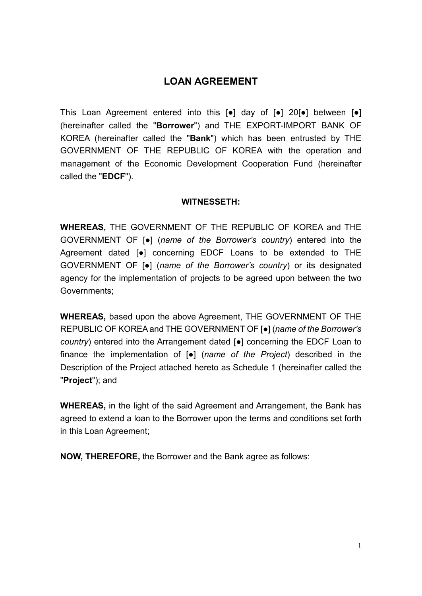### **LOAN AGREEMENT**

This Loan Agreement entered into this [●] day of [●] 20[●] between [●] (hereinafter called the "**Borrower**") and THE EXPORT-IMPORT BANK OF KOREA (hereinafter called the "**Bank**") which has been entrusted by THE GOVERNMENT OF THE REPUBLIC OF KOREA with the operation and management of the Economic Development Cooperation Fund (hereinafter called the "**EDCF**").

#### **WITNESSETH:**

**WHEREAS,** THE GOVERNMENT OF THE REPUBLIC OF KOREA and THE GOVERNMENT OF [●] (*name of the Borrower's country*) entered into the Agreement dated [●] concerning EDCF Loans to be extended to THE GOVERNMENT OF [●] (*name of the Borrower's country*) or its designated agency for the implementation of projects to be agreed upon between the two Governments;

**WHEREAS,** based upon the above Agreement, THE GOVERNMENT OF THE REPUBLIC OF KOREA and THE GOVERNMENT OF [●] (*name of the Borrower's country*) entered into the Arrangement dated [●] concerning the EDCF Loan to finance the implementation of [●] (*name of the Project*) described in the Description of the Project attached hereto as Schedule 1 (hereinafter called the "**Project**"); and

**WHEREAS,** in the light of the said Agreement and Arrangement, the Bank has agreed to extend a loan to the Borrower upon the terms and conditions set forth in this Loan Agreement;

**NOW, THEREFORE,** the Borrower and the Bank agree as follows: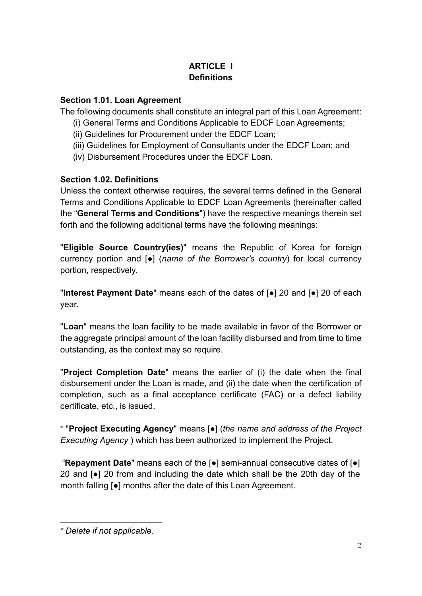### **ARTICI F I Definitions**

#### **Section 1.01. Loan Agreement**

The following documents shall constitute an integral part of this Loan Agreement:

- (i) General Terms and Conditions Applicable to EDCF Loan Agreements;
- (ii) Guidelines for Procurement under the EDCF Loan;
- (iii) Guidelines for Employment of Consultants under the EDCF Loan; and
- (iv) Disbursement Procedures under the EDCF Loan.

#### **Section 1.02. Definitions**

Unless the context otherwise requires, the several terms defined in the General Terms and Conditions Applicable to EDCF Loan Agreements (hereinafter called the "**General Terms and Conditions**") have the respective meanings therein set forth and the following additional terms have the following meanings:

"**Eligible Source Country(ies)**" means the Republic of Korea for foreign currency portion and [●] (*name of the Borrower's country*) for local currency portion, respectively.

"**Interest Payment Date**" means each of the dates of [●] 20 and [●] 20 of each year.

"**Loan**" means the loan facility to be made available in favor of the Borrower or the aggregate principal amount of the loan facility disbursed and from time to time outstanding, as the context may so require.

"**Project Completion Date**" means the earlier of (i) the date when the final disbursement under the Loan is made, and (ii) the date when the certification of completion, such as a final acceptance certificate (FAC) or a defect liability certificate, etc., is issued.

\* "**Project Executing Agency**" means [●] (*the name and address of the Project Executing Agency* ) which has been authorized to implement the Project.

"**Repayment Date**" means each of the [●] semi-annual consecutive dates of [●] 20 and [●] 20 from and including the date which shall be the 20th day of the month falling [●] months after the date of this Loan Agreement.

<sup>\*</sup> *Delete if not applicable.*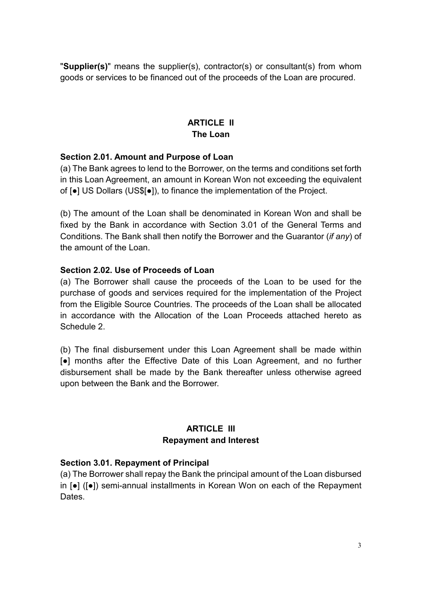"**Supplier(s)**" means the supplier(s), contractor(s) or consultant(s) from whom goods or services to be financed out of the proceeds of the Loan are procured.

#### **ARTICLE II The Loan**

#### **Section 2.01. Amount and Purpose of Loan**

(a) The Bank agrees to lend to the Borrower, on the terms and conditions set forth in this Loan Agreement, an amount in Korean Won not exceeding the equivalent of [●] US Dollars (US\$[●]), to finance the implementation of the Project.

(b) The amount of the Loan shall be denominated in Korean Won and shall be fixed by the Bank in accordance with Section 3.01 of the General Terms and Conditions. The Bank shall then notify the Borrower and the Guarantor (*if any*) of the amount of the Loan.

#### **Section 2.02. Use of Proceeds of Loan**

(a) The Borrower shall cause the proceeds of the Loan to be used for the purchase of goods and services required for the implementation of the Project from the Eligible Source Countries. The proceeds of the Loan shall be allocated in accordance with the Allocation of the Loan Proceeds attached hereto as Schedule 2.

(b) The final disbursement under this Loan Agreement shall be made within [●] months after the Effective Date of this Loan Agreement, and no further disbursement shall be made by the Bank thereafter unless otherwise agreed upon between the Bank and the Borrower.

#### **ARTICLE III Repayment and Interest**

#### **Section 3.01. Repayment of Principal**

(a) The Borrower shall repay the Bank the principal amount of the Loan disbursed in [●] ([●]) semi-annual installments in Korean Won on each of the Repayment Dates.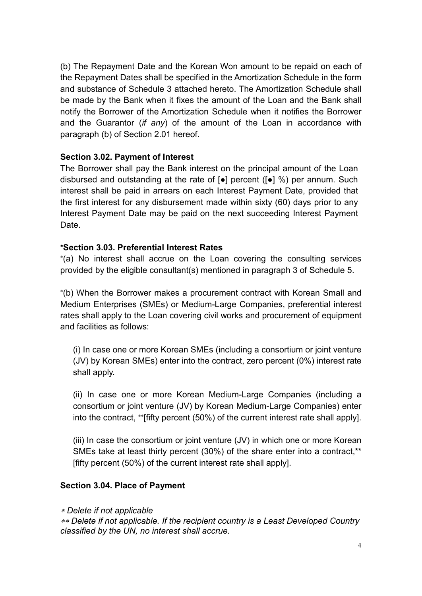(b) The Repayment Date and the Korean Won amount to be repaid on each of the Repayment Dates shall be specified in the Amortization Schedule in the form and substance of Schedule 3 attached hereto. The Amortization Schedule shall be made by the Bank when it fixes the amount of the Loan and the Bank shall notify the Borrower of the Amortization Schedule when it notifies the Borrower and the Guarantor (*if any*) of the amount of the Loan in accordance with paragraph (b) of Section 2.01 hereof.

**Section 3.02. Payment of Interest**<br>The Borrower shall pay the Bank interest on the principal amount of the Loan disbursed and outstanding at the rate of [●] percent ([●] %) per annum. Such interest shall be paid in arrears on each Interest Payment Date, provided that the first interest for any disbursement made within sixty (60) days prior to any Interest Payment Date may be paid on the next succeeding Interest Payment Date.

#### \***Section 3.03. Preferential Interest Rates**

\* (a) No interest shall accrue on the Loan covering the consulting services provided by the eligible consultant(s) mentioned in paragraph 3 of Schedule 5.

\* (b) When the Borrower makes a procurement contract with Korean Small and Medium Enterprises (SMEs) or Medium-Large Companies, preferential interest rates shall apply to the Loan covering civil works and procurement of equipment and facilities as follows:

(i) In case one or more Korean SMEs (including a consortium or joint venture (JV) by Korean SMEs) enter into the contract, zero percent (0%) interest rate shall apply.

(ii) In case one or more Korean Medium-Large Companies (including a consortium or joint venture (JV) by Korean Medium-Large Companies) enter into the contract, \*\* [fifty percent (50%) of the current interest rate shall apply].

(iii) In case the consortium or joint venture (JV) in which one or more Korean SMEs take at least thirty percent (30%) of the share enter into a contract,\*\* [fifty percent (50%) of the current interest rate shall apply].

#### **Section 3.04. Place of Payment**

<sup>\*</sup> *Delete if not applicable*

<sup>\*\*</sup> *Delete if not applicable. If the recipient country is a Least Developed Country classified by the UN, no interest shall accrue.*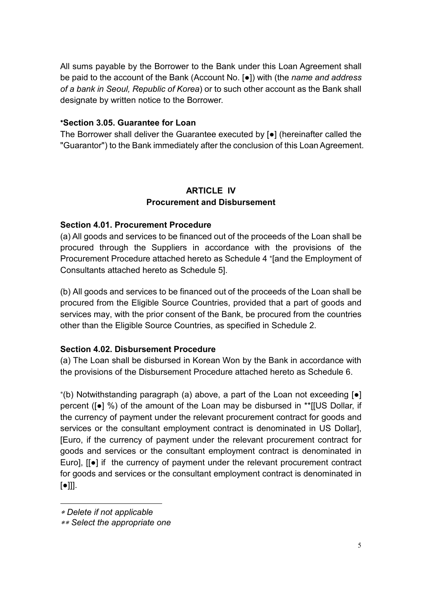All sums payable by the Borrower to the Bank under this Loan Agreement shall be paid to the account of the Bank (Account No. [●]) with (the *name and address of a bank in Seoul, Republic of Korea*) or to such other account as the Bank shall designate by written notice to the Borrower.

#### \***Section 3.05. Guarantee for Loan**

The Borrower shall deliver the Guarantee executed by [●] (hereinafter called the "Guarantor") to the Bank immediately after the conclusion of this Loan Agreement.

#### **ARTICLE IV Procurement and Disbursement**

#### **Section 4.01. Procurement Procedure**

(a) All goods and services to be financed out of the proceeds of the Loan shall be procured through the Suppliers in accordance with the provisions of the Procurement Procedure attached hereto as Schedule 4 \* [and the Employment of Consultants attached hereto as Schedule 5].

(b) All goods and services to be financed out of the proceeds of the Loan shall be procured from the Eligible Source Countries, provided that a part of goods and services may, with the prior consent of the Bank, be procured from the countries other than the Eligible Source Countries, as specified in Schedule 2.

**Section 4.02. Disbursement Procedure** (a) The Loan shall be disbursed in Korean Won by the Bank in accordance with the provisions of the Disbursement Procedure attached hereto as Schedule 6.

\* (b) Notwithstanding paragraph (a) above, a part of the Loan not exceeding [●] percent ([●] %) of the amount of the Loan may be disbursed in \*\*[[US Dollar, if the currency of payment under the relevant procurement contract for goods and services or the consultant employment contract is denominated in US Dollar], [Euro, if the currency of payment under the relevant procurement contract for goods and services or the consultant employment contract is denominated in Euro], [[●] if the currency of payment under the relevant procurement contract for goods and services or the consultant employment contract is denominated in  $\lceil \bullet \rceil$ ].

<sup>\*</sup> *Delete if not applicable*

<sup>\*\*</sup> *Select the appropriate one*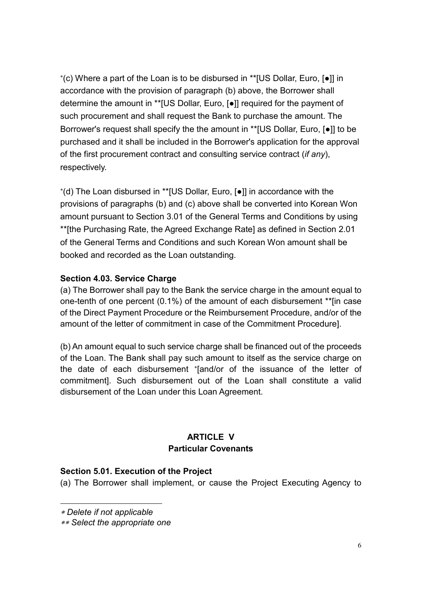\* (c) Where a part of the Loan is to be disbursed in \*\*[US Dollar, Euro, [●]] in accordance with the provision of paragraph (b) above, the Borrower shall determine the amount in \*\*[US Dollar, Euro, [●]] required for the payment of such procurement and shall request the Bank to purchase the amount. The Borrower's request shall specify the the amount in \*\*[US Dollar, Euro, [●]] to be purchased and it shall be included in the Borrower's application for the approval of the first procurement contract and consulting service contract (*if any*), respectively.

\* (d) The Loan disbursed in \*\*[US Dollar, Euro, [●]] in accordance with the provisions of paragraphs (b) and (c) above shall be converted into Korean Won amount pursuant to Section 3.01 of the General Terms and Conditions by using \*\*[the Purchasing Rate, the Agreed Exchange Rate] as defined in Section 2.01 of the General Terms and Conditions and such Korean Won amount shall be booked and recorded as the Loan outstanding.

**Section 4.03. Service Charge**<br>(a) The Borrower shall pay to the Bank the service charge in the amount equal to one-tenth of one percent (0.1%) of the amount of each disbursement \*\*[in case of the Direct Payment Procedure or the Reimbursement Procedure, and/or of the amount of the letter of commitment in case of the Commitment Procedure].

(b) An amount equal to such service charge shall be financed out of the proceeds of the Loan. The Bank shall pay such amount to itself as the service charge on the date of each disbursement \* [and/or of the issuance of the letter of commitment]. Such disbursement out of the Loan shall constitute a valid disbursement of the Loan under this Loan Agreement.

#### **ARTICLE V Particular Covenants**

**Section 5.01. Execution of the Project** (a) The Borrower shall implement, or cause the Project Executing Agency to

<sup>\*</sup> *Delete if not applicable*

<sup>\*\*</sup> *Select the appropriate one*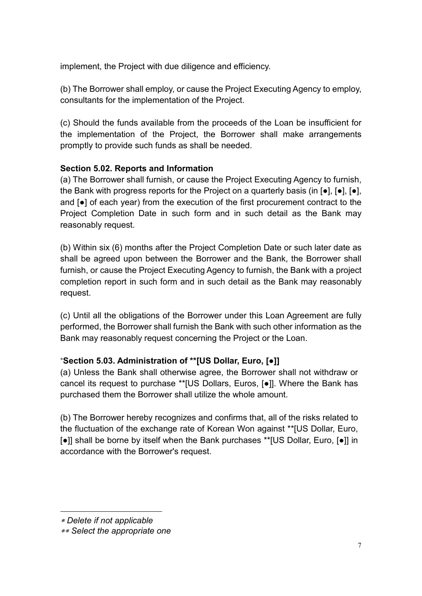implement, the Project with due diligence and efficiency.

(b) The Borrower shall employ, or cause the Project Executing Agency to employ, consultants for the implementation of the Project.

(c) Should the funds available from the proceeds of the Loan be insufficient for the implementation of the Project, the Borrower shall make arrangements promptly to provide such funds as shall be needed.

**Section 5.02. Reports and Information** (a) The Borrower shall furnish, or cause the Project Executing Agency to furnish, the Bank with progress reports for the Project on a quarterly basis (in  $[\bullet]$ ,  $[\bullet]$ ,  $[\bullet]$ ,  $[\bullet]$ , and  $[\bullet]$  of each year) from the execution of the first procurement contract to the Project Completion Date in such form and in such detail as the Bank may reasonably request.

(b) Within six (6) months after the Project Completion Date or such later date as shall be agreed upon between the Borrower and the Bank, the Borrower shall furnish, or cause the Project Executing Agency to furnish, the Bank with a project completion report in such form and in such detail as the Bank may reasonably request.

(c) Until all the obligations of the Borrower under this Loan Agreement are fully performed, the Borrower shall furnish the Bank with such other information as the Bank may reasonably request concerning the Project or the Loan.

#### \***Section 5.03. Administration of \*\*[US Dollar, Euro, [**●**]]**

(a) Unless the Bank shall otherwise agree, the Borrower shall not withdraw or cancel its request to purchase \*\*[US Dollars, Euros, [●]]. Where the Bank has purchased them the Borrower shall utilize the whole amount.

(b) The Borrower hereby recognizes and confirms that, all of the risks related to the fluctuation of the exchange rate of Korean Won against \*\*[US Dollar, Euro, [●]] shall be borne by itself when the Bank purchases \*\*[US Dollar, Euro, [●]] in accordance with the Borrower's request.

<sup>1</sup> \* *Delete if not applicable*

<sup>\*\*</sup> *Select the appropriate one*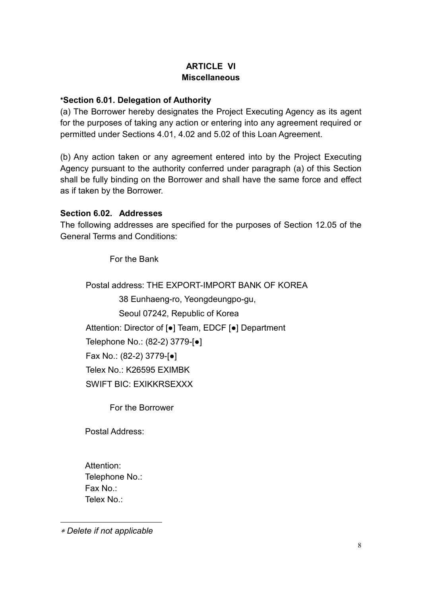#### **ARTICLE VI Miscellaneous**

#### \***Section 6.01. Delegation of Authority**

(a) The Borrower hereby designates the Project Executing Agency as its agent for the purposes of taking any action or entering into any agreement required or permitted under Sections 4.01, 4.02 and 5.02 of this Loan Agreement.

(b) Any action taken or any agreement entered into by the Project Executing Agency pursuant to the authority conferred under paragraph (a) of this Section shall be fully binding on the Borrower and shall have the same force and effect as if taken by the Borrower.

#### **Section 6.02. Addresses**

The following addresses are specified for the purposes of Section 12.05 of the General Terms and Conditions:

For the Bank

Postal address: THE EXPORT-IMPORT BANK OF KOREA

38 Eunhaeng-ro, Yeongdeungpo-gu,

Seoul 07242, Republic of Korea

Attention: Director of [●] Team, EDCF [●] Department

Telephone No.: (82-2) 3779-[●]

Fax No.: (82-2) 3779-[●]

Telex No.: K26595 EXIMBK

SWIFT BIC: EXIKKRSEXXX

For the Borrower

Postal Address:

Attention: Telephone No.: Fax No.: Telex No.:

\* *Delete if not applicable*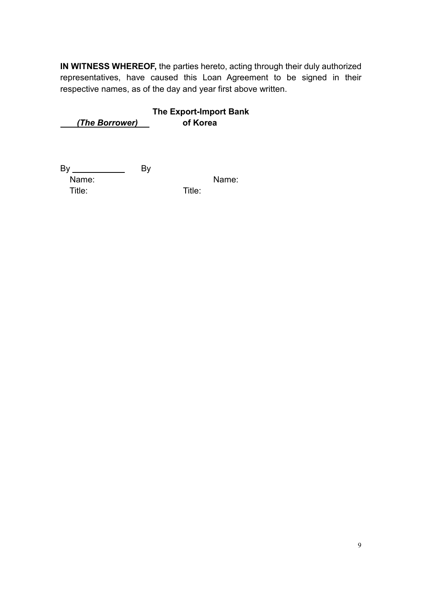**IN WITNESS WHEREOF,** the parties hereto, acting through their duly authorized representatives, have caused this Loan Agreement to be signed in their respective names, as of the day and year first above written.

 **The Export-Import Bank** *(The Borrower)* **of Korea**

 By By Name: Name: Title: Title: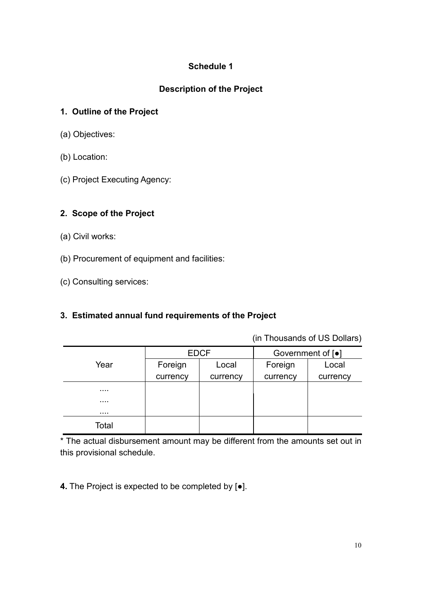#### **Description of the Project**

#### **1. Outline of the Project**

- (a) Objectives:
- (b) Location:
- (c) Project Executing Agency:

#### **2. Scope of the Project**

- (a) Civil works:
- (b) Procurement of equipment and facilities:
- (c) Consulting services:

#### **3. Estimated annual fund requirements of the Project**

(in Thousands of US Dollars)

|       | <b>EDCF</b> |          | Government of [ $\bullet$ ] |          |
|-------|-------------|----------|-----------------------------|----------|
| Year  | Foreign     | Local    | Foreign                     | Local    |
|       | currency    | currency | currency                    | currency |
| .     |             |          |                             |          |
| .     |             |          |                             |          |
| .     |             |          |                             |          |
| Total |             |          |                             |          |

\* The actual disbursement amount may be different from the amounts set out in this provisional schedule.

**4.** The Project is expected to be completed by [●].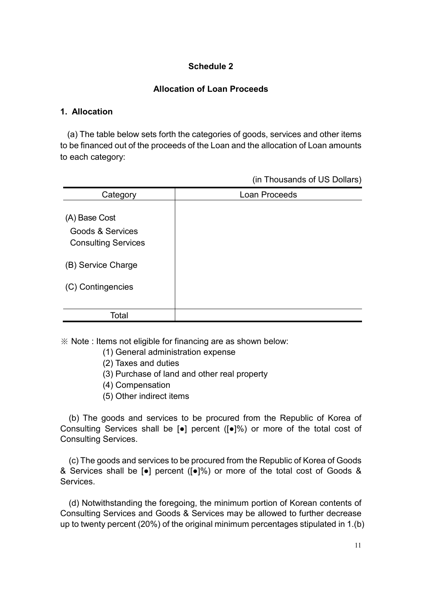#### **Allocation of Loan Proceeds**

#### **1. Allocation**

(a) The table below sets forth the categories of goods, services and other items to be financed out of the proceeds of the Loan and the allocation of Loan amounts to each category:

(in Thousands of US Dollars)

| Category                                                                   | Loan Proceeds |
|----------------------------------------------------------------------------|---------------|
| (A) Base Cost<br><b>Goods &amp; Services</b><br><b>Consulting Services</b> |               |
| (B) Service Charge                                                         |               |
| (C) Contingencies                                                          |               |
| Total                                                                      |               |

※ Note : Items not eligible for financing are as shown below:

- (1) General administration expense
- (2) Taxes and duties
- (3) Purchase of land and other real property
- (4) Compensation
- (5) Other indirect items

(b) The goods and services to be procured from the Republic of Korea of Consulting Services shall be [●] percent ([●]%) or more of the total cost of Consulting Services.

(c) The goods and services to be procured from the Republic of Korea of Goods & Services shall be [●] percent ([●]%) or more of the total cost of Goods & **Services** 

(d) Notwithstanding the foregoing, the minimum portion of Korean contents of Consulting Services and Goods & Services may be allowed to further decrease up to twenty percent (20%) of the original minimum percentages stipulated in 1.(b)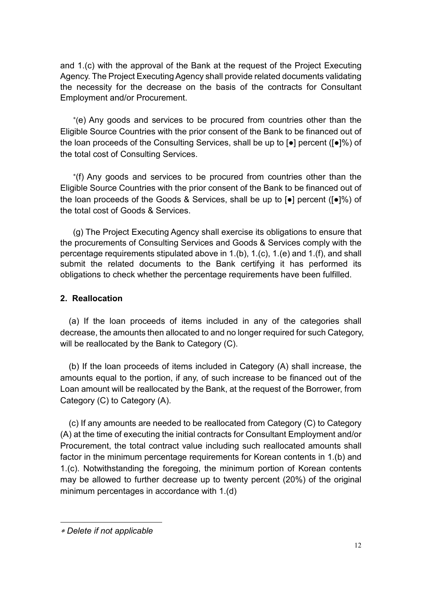and 1.(c) with the approval of the Bank at the request of the Project Executing Agency. The Project Executing Agency shall provide related documents validating the necessity for the decrease on the basis of the contracts for Consultant Employment and/or Procurement.

\* (e) Any goods and services to be procured from countries other than the Eligible Source Countries with the prior consent of the Bank to be financed out of the loan proceeds of the Consulting Services, shall be up to [●] percent ([●]%) of the total cost of Consulting Services.

\* (f) Any goods and services to be procured from countries other than the Eligible Source Countries with the prior consent of the Bank to be financed out of the loan proceeds of the Goods & Services, shall be up to [●] percent ([●]%) of the total cost of Goods & Services.

(g) The Project Executing Agency shall exercise its obligations to ensure that the procurements of Consulting Services and Goods & Services comply with the percentage requirements stipulated above in 1.(b), 1.(c), 1.(e) and 1.(f), and shall submit the related documents to the Bank certifying it has performed its obligations to check whether the percentage requirements have been fulfilled.

#### **2. Reallocation**

(a) If the loan proceeds of items included in any of the categories shall decrease, the amounts then allocated to and no longer required for such Category, will be reallocated by the Bank to Category (C).

(b) If the loan proceeds of items included in Category (A) shall increase, the amounts equal to the portion, if any, of such increase to be financed out of the Loan amount will be reallocated by the Bank, at the request of the Borrower, from Category (C) to Category (A).

(c) If any amounts are needed to be reallocated from Category (C) to Category (A) at the time of executing the initial contracts for Consultant Employment and/or Procurement, the total contract value including such reallocated amounts shall factor in the minimum percentage requirements for Korean contents in 1.(b) and 1.(c). Notwithstanding the foregoing, the minimum portion of Korean contents may be allowed to further decrease up to twenty percent (20%) of the original minimum percentages in accordance with 1.(d)

<sup>\*</sup> *Delete if not applicable*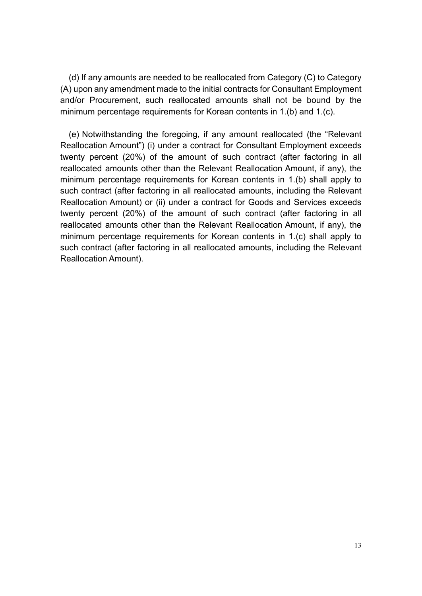(d) If any amounts are needed to be reallocated from Category (C) to Category (A) upon any amendment made to the initial contracts for Consultant Employment and/or Procurement, such reallocated amounts shall not be bound by the minimum percentage requirements for Korean contents in 1.(b) and 1.(c).

(e) Notwithstanding the foregoing, if any amount reallocated (the "Relevant Reallocation Amount") (i) under a contract for Consultant Employment exceeds twenty percent (20%) of the amount of such contract (after factoring in all reallocated amounts other than the Relevant Reallocation Amount, if any), the minimum percentage requirements for Korean contents in 1.(b) shall apply to such contract (after factoring in all reallocated amounts, including the Relevant Reallocation Amount) or (ii) under a contract for Goods and Services exceeds twenty percent (20%) of the amount of such contract (after factoring in all reallocated amounts other than the Relevant Reallocation Amount, if any), the minimum percentage requirements for Korean contents in 1.(c) shall apply to such contract (after factoring in all reallocated amounts, including the Relevant Reallocation Amount).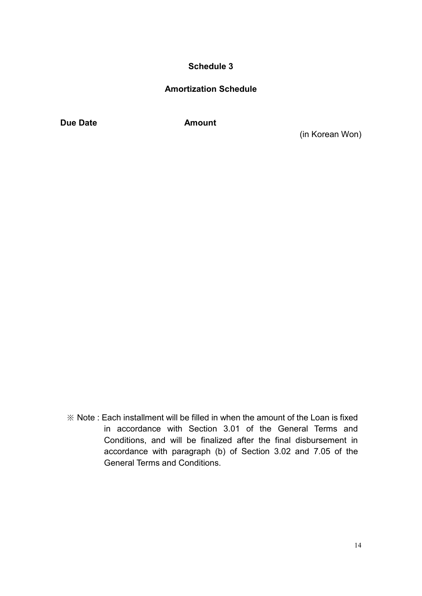#### **Amortization Schedule**

**Due Date Amount** 

(in Korean Won)

 $\mathbb X$  Note : Each installment will be filled in when the amount of the Loan is fixed in accordance with Section 3.01 of the General Terms and Conditions, and will be finalized after the final disbursement in accordance with paragraph (b) of Section 3.02 and 7.05 of the General Terms and Conditions.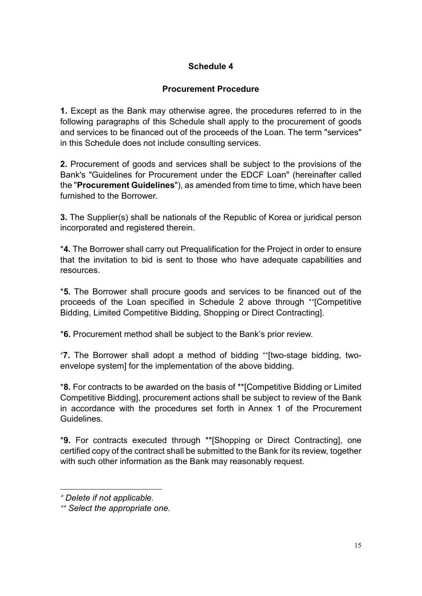#### **Procurement Procedure**

**1.** Except as the Bank may otherwise agree, the procedures referred to in the following paragraphs of this Schedule shall apply to the procurement of goods and services to be financed out of the proceeds of the Loan. The term "services" in this Schedule does not include consulting services.

**2.** Procurement of goods and services shall be subject to the provisions of the Bank's "Guidelines for Procurement under the EDCF Loan" (hereinafter called the "**Procurement Guidelines**"), as amended from time to time, which have been furnished to the Borrower.

**3.** The Supplier(s) shall be nationals of the Republic of Korea or juridical person incorporated and registered therein.

\***4.** The Borrower shall carry out Prequalification for the Project in order to ensure that the invitation to bid is sent to those who have adequate capabilities and resources.

\***5.** The Borrower shall procure goods and services to be financed out of the proceeds of the Loan specified in Schedule 2 above through \*\* [Competitive Bidding, Limited Competitive Bidding, Shopping or Direct Contracting].

\***6.** Procurement method shall be subject to the Bank's prior review.

\***7.** The Borrower shall adopt a method of bidding \*\* [two-stage bidding, two envelope system] for the implementation of the above bidding.

\***8.** For contracts to be awarded on the basis of \*\*[Competitive Bidding or Limited Competitive Bidding], procurement actions shall be subject to review of the Bank in accordance with the procedures set forth in Annex 1 of the Procurement **Guidelines** 

 \***9.** For contracts executed through \*\*[Shopping or Direct Contracting], one certified copy of the contract shall be submitted to the Bank for its review, together with such other information as the Bank may reasonably request.

<sup>\*</sup> *Delete if not applicable.*

<sup>\*\*</sup> *Select the appropriate one.*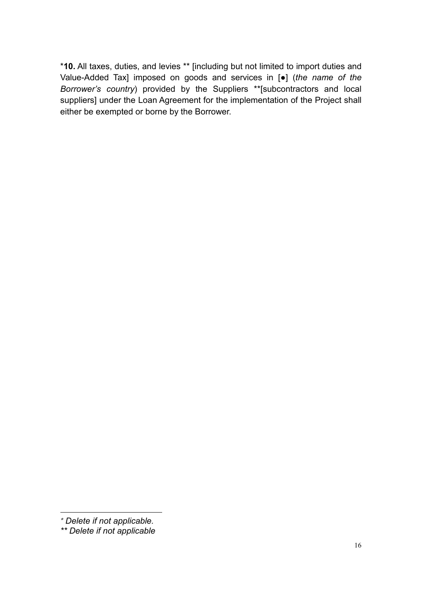\***10.** All taxes, duties, and levies \*\* [including but not limited to import duties and Value-Added Tax] imposed on goods and services in [●] (*the name of the Borrower's country*) provided by the Suppliers \*\*[subcontractors and local suppliers] under the Loan Agreement for the implementation of the Project shall either be exempted or borne by the Borrower.

<sup>-</sup>\* *Delete if not applicable.*

*<sup>\*\*</sup> Delete if not applicable*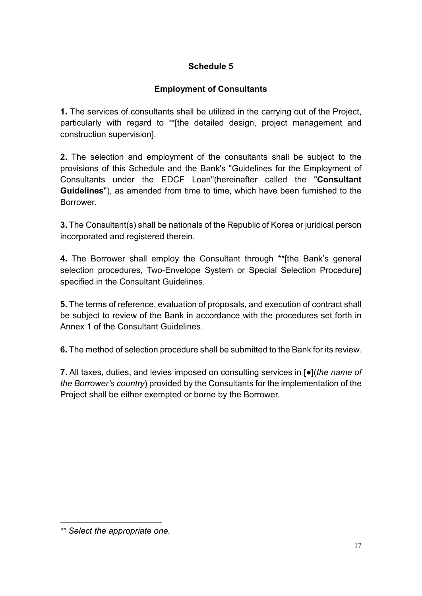### **Employment of Consultants**

**1.** The services of consultants shall be utilized in the carrying out of the Project, particularly with regard to \*\* [the detailed design, project management and construction supervision].

**2.** The selection and employment of the consultants shall be subject to the provisions of this Schedule and the Bank's "Guidelines for the Employment of Consultants under the EDCF Loan"(hereinafter called the "**Consultant Guidelines**"), as amended from time to time, which have been furnished to the Borrower.

**3.** The Consultant(s) shall be nationals of the Republic of Korea or juridical person incorporated and registered therein.

**4.** The Borrower shall employ the Consultant through \*\*[the Bank's general selection procedures, Two-Envelope System or Special Selection Procedure] specified in the Consultant Guidelines.

**5.** The terms of reference, evaluation of proposals, and execution of contract shall be subject to review of the Bank in accordance with the procedures set forth in Annex 1 of the Consultant Guidelines.

**6.** The method of selection procedure shall be submitted to the Bank for its review.

**7.** All taxes, duties, and levies imposed on consulting services in [●](*the name of the Borrower's country*) provided by the Consultants for the implementation of the Project shall be either exempted or borne by the Borrower.

<sup>\*\*</sup> *Select the appropriate one.*